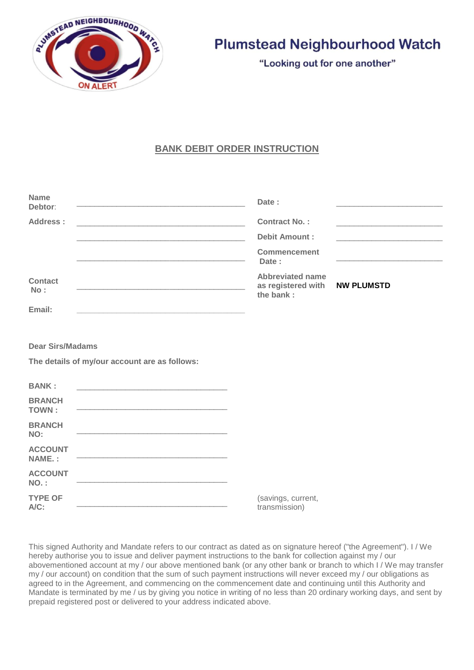

# **Plumstead Neighbourhood Watch**

"Looking out for one another"

# **BANK DEBIT ORDER INSTRUCTION**

| <b>Name</b><br>Debtor:                                                                                                            | Date:                                                                                                                                                                                                    |
|-----------------------------------------------------------------------------------------------------------------------------------|----------------------------------------------------------------------------------------------------------------------------------------------------------------------------------------------------------|
| Address:<br><u> 1989 - Johann John Harry, mars ar yw i gwraig y cynnwys y cynnwys y cynnwys y cynnwys y cynnwys y cynnwys y c</u> | <b>Contract No.:</b>                                                                                                                                                                                     |
|                                                                                                                                   | <b>Debit Amount:</b>                                                                                                                                                                                     |
| <u> 1989 - Johann John Stone, mars et al. 1989 - John Stone, mars et al. 1989 - John Stone, mars et al. 1989 - Joh</u>            | <b>Commencement</b><br>Date:                                                                                                                                                                             |
| <b>Contact</b><br>No:                                                                                                             | <b>Abbreviated name</b><br>as registered with<br><b>NW PLUMSTD</b><br><u> 1989 - Johann John Stone, markin amerikan basal dan berkembang di banyak di banyak di banyak di banyak di ban</u><br>the bank: |
| Email:                                                                                                                            |                                                                                                                                                                                                          |
| <b>Dear Sirs/Madams</b><br>The details of my/our account are as follows:<br><b>BANK:</b>                                          |                                                                                                                                                                                                          |
| <b>BRANCH</b><br><b>TOWN:</b>                                                                                                     |                                                                                                                                                                                                          |
| <b>BRANCH</b><br>NO:                                                                                                              |                                                                                                                                                                                                          |
| <b>ACCOUNT</b><br>NAME.:                                                                                                          |                                                                                                                                                                                                          |
| <b>ACCOUNT</b><br>$NO.$ :                                                                                                         |                                                                                                                                                                                                          |
| <b>TYPE OF</b><br>A/C:                                                                                                            | (savings, current,<br>transmission)                                                                                                                                                                      |

This signed Authority and Mandate refers to our contract as dated as on signature hereof ("the Agreement"). I / We hereby authorise you to issue and deliver payment instructions to the bank for collection against my / our abovementioned account at my / our above mentioned bank (or any other bank or branch to which I / We may transfer my / our account) on condition that the sum of such payment instructions will never exceed my / our obligations as agreed to in the Agreement, and commencing on the commencement date and continuing until this Authority and Mandate is terminated by me / us by giving you notice in writing of no less than 20 ordinary working days, and sent by prepaid registered post or delivered to your address indicated above.